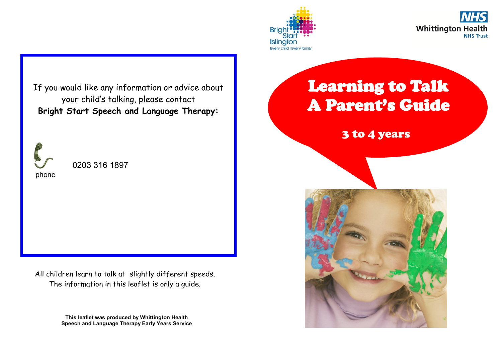



If you would like any information or advice about your child's talking, please contact **Bright Start Speech and Language Therapy:**



0203 316 1897

All children learn to talk at slightly different speeds. The information in this leaflet is only a guide.

> **This leaflet was produced by Whittington Health Speech and Language Therapy Early Years Service**

### Learning to Talk A Parent's Guide

3 to 4 years